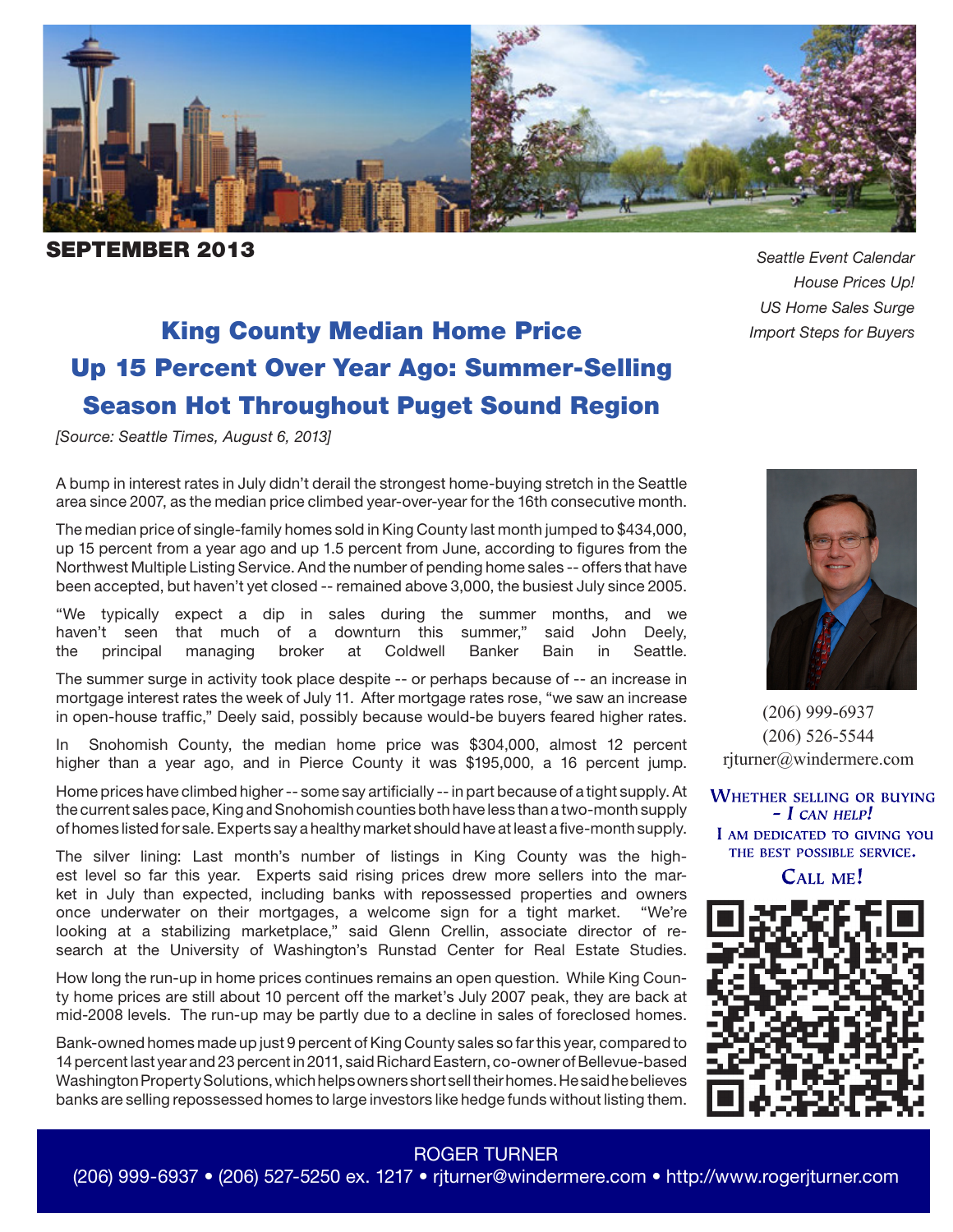

**PTEMBER 2013 Seattle Event Calendar** 

*House Prices Up! US Home Sales Surge*

# King County Median Home Price *Import Steps for Buyers* Up 15 Percent Over Year Ago: Summer-Selling Season Hot Throughout Puget Sound Region

*[Source: Seattle Times, August 6, 2013]*

A bump in interest rates in July didn't derail the strongest home-buying stretch in the Seattle area since 2007, as the median price climbed year-over-year for the 16th consecutive month.

The median price of single-family homes sold in King County last month jumped to \$434,000, up 15 percent from a year ago and up 1.5 percent from June, according to figures from the Northwest Multiple Listing Service. And the number of pending home sales -- offers that have been accepted, but haven't yet closed -- remained above 3,000, the busiest July since 2005.

"We typically expect a dip in sales during the summer months, and we haven't seen that much of a downturn this summer," said John Deely, the principal managing broker at Coldwell Banker Bain in Seattle.

The summer surge in activity took place despite -- or perhaps because of -- an increase in mortgage interest rates the week of July 11. After mortgage rates rose, "we saw an increase in open-house traffic," Deely said, possibly because would-be buyers feared higher rates.

Snohomish County, the median home price was \$304,000, almost 12 percent higher than a year ago, and in Pierce County it was \$195,000, a 16 percent jump.

Home prices have climbed higher -- some say artificially -- in part because of a tight supply. At the current sales pace, King and Snohomish counties both have less than a two-month supply of homes listed for sale. Experts say a healthy market should have at least a five-month supply.

The silver lining: Last month's number of listings in King County was the highest level so far this year. Experts said rising prices drew more sellers into the market in July than expected, including banks with repossessed properties and owners once underwater on their mortgages, a welcome sign for a tight market. "We're looking at a stabilizing marketplace," said Glenn Crellin, associate director of research at the University of Washington's Runstad Center for Real Estate Studies.

How long the run-up in home prices continues remains an open question. While King County home prices are still about 10 percent off the market's July 2007 peak, they are back at mid-2008 levels. The run-up may be partly due to a decline in sales of foreclosed homes.

Bank-owned homes made up just 9 percent of King County sales so far this year, compared to 14 percent last year and 23 percent in 2011, said Richard Eastern, co-owner of Bellevue-based Washington Property Solutions, which helps owners short sell their homes. He said he believes banks are selling repossessed homes to large investors like hedge funds without listing them.



(206) 999-6937 (206) 526-5544 rjturner@windermere.com

**WHETHER SELLING OR BUYING**  $- I$  CAN HELP! I AM DEDICATED TO GIVING YOU THE BEST POSSIBLE SERVICE.

CALL ME!



#### ROGER TURNER

(206) 999-6937 • (206) 527-5250 ex. 1217 • rjturner@windermere.com • http://www.rogerjturner.com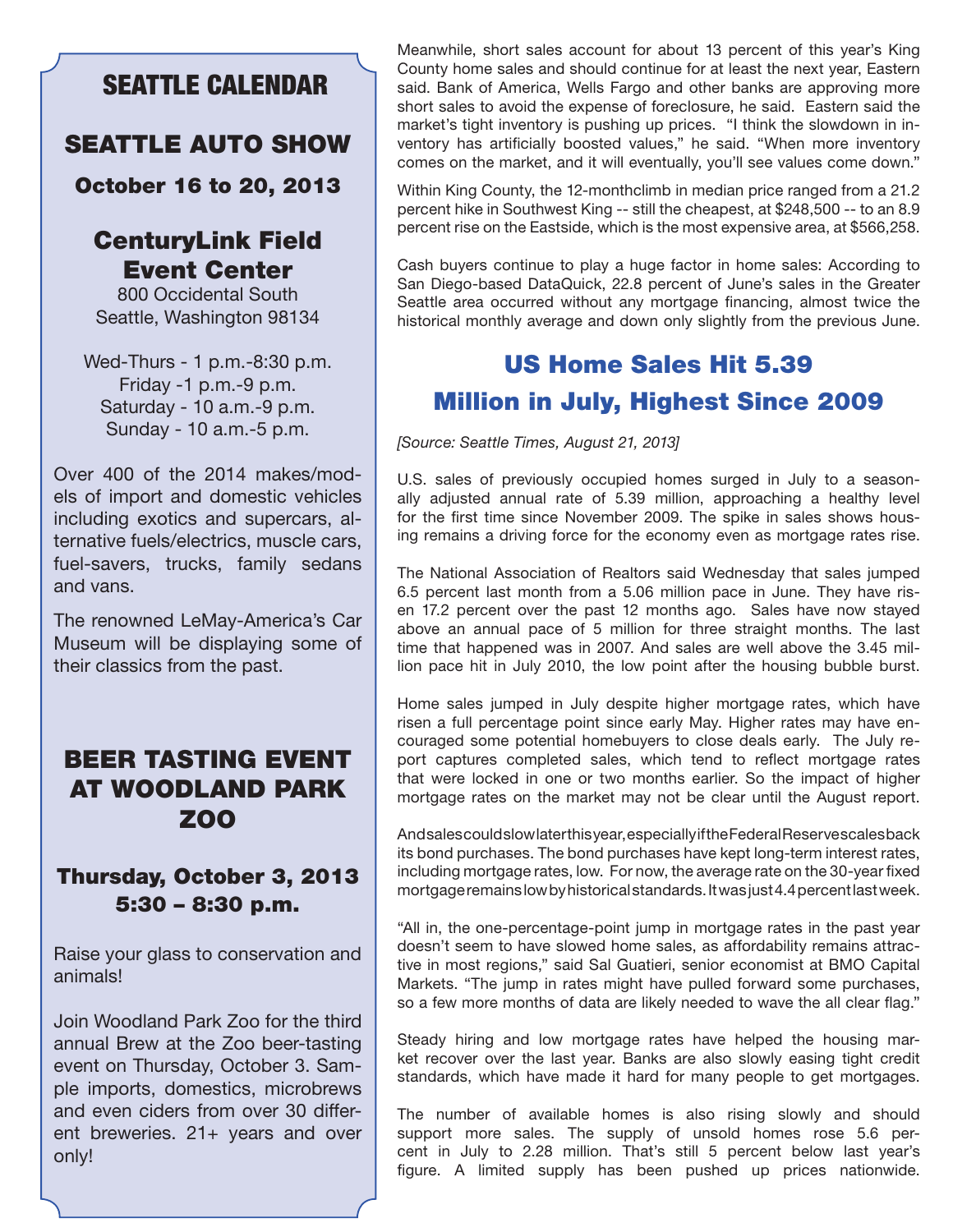## SEATTLE CALENDAR

#### SEATTLE AUTO SHOW

October 16 to 20, 2013

#### CenturyLink Field Event Center

800 Occidental South Seattle, Washington 98134

Wed-Thurs - 1 p.m.-8:30 p.m. Friday -1 p.m.-9 p.m. Saturday - 10 a.m.-9 p.m. Sunday - 10 a.m.-5 p.m.

Over 400 of the 2014 makes/models of import and domestic vehicles including exotics and supercars, alternative fuels/electrics, muscle cars, fuel-savers, trucks, family sedans and vans.

The renowned LeMay-America's Car Museum will be displaying some of their classics from the past.

## BEER TASTING EVENT AT WOODLAND PARK ZOO

#### Thursday, October 3, 2013 5:30 – 8:30 p.m.

Raise your glass to conservation and animals!

Join Woodland Park Zoo for the third annual Brew at the Zoo beer-tasting event on Thursday, October 3. Sample imports, domestics, microbrews and even ciders from over 30 different breweries. 21+ years and over only!

Meanwhile, short sales account for about 13 percent of this year's King County home sales and should continue for at least the next year, Eastern said. Bank of America, Wells Fargo and other banks are approving more short sales to avoid the expense of foreclosure, he said. Eastern said the market's tight inventory is pushing up prices. "I think the slowdown in inventory has artificially boosted values," he said. "When more inventory comes on the market, and it will eventually, you'll see values come down."

Within King County, the 12-monthclimb in median price ranged from a 21.2 percent hike in Southwest King -- still the cheapest, at \$248,500 -- to an 8.9 percent rise on the Eastside, which is the most expensive area, at \$566,258.

Cash buyers continue to play a huge factor in home sales: According to San Diego-based DataQuick, 22.8 percent of June's sales in the Greater Seattle area occurred without any mortgage financing, almost twice the historical monthly average and down only slightly from the previous June.

# US Home Sales Hit 5.39 Million in July, Highest Since 2009

*[Source: Seattle Times, August 21, 2013]*

U.S. sales of previously occupied homes surged in July to a seasonally adjusted annual rate of 5.39 million, approaching a healthy level for the first time since November 2009. The spike in sales shows housing remains a driving force for the economy even as mortgage rates rise.

The National Association of Realtors said Wednesday that sales jumped 6.5 percent last month from a 5.06 million pace in June. They have risen 17.2 percent over the past 12 months ago. Sales have now stayed above an annual pace of 5 million for three straight months. The last time that happened was in 2007. And sales are well above the 3.45 million pace hit in July 2010, the low point after the housing bubble burst.

Home sales jumped in July despite higher mortgage rates, which have risen a full percentage point since early May. Higher rates may have encouraged some potential homebuyers to close deals early. The July report captures completed sales, which tend to reflect mortgage rates that were locked in one or two months earlier. So the impact of higher mortgage rates on the market may not be clear until the August report.

And sales could slow later this year, especially if the Federal Reserve scales back its bond purchases. The bond purchases have kept long-term interest rates, including mortgage rates, low. For now, the average rate on the 30-year fixed mortgage remains low by historical standards. It was just 4.4 percent last week.

"All in, the one-percentage-point jump in mortgage rates in the past year doesn't seem to have slowed home sales, as affordability remains attractive in most regions," said Sal Guatieri, senior economist at BMO Capital Markets. "The jump in rates might have pulled forward some purchases, so a few more months of data are likely needed to wave the all clear flag."

Steady hiring and low mortgage rates have helped the housing market recover over the last year. Banks are also slowly easing tight credit standards, which have made it hard for many people to get mortgages.

The number of available homes is also rising slowly and should support more sales. The supply of unsold homes rose 5.6 percent in July to 2.28 million. That's still 5 percent below last year's figure. A limited supply has been pushed up prices nationwide.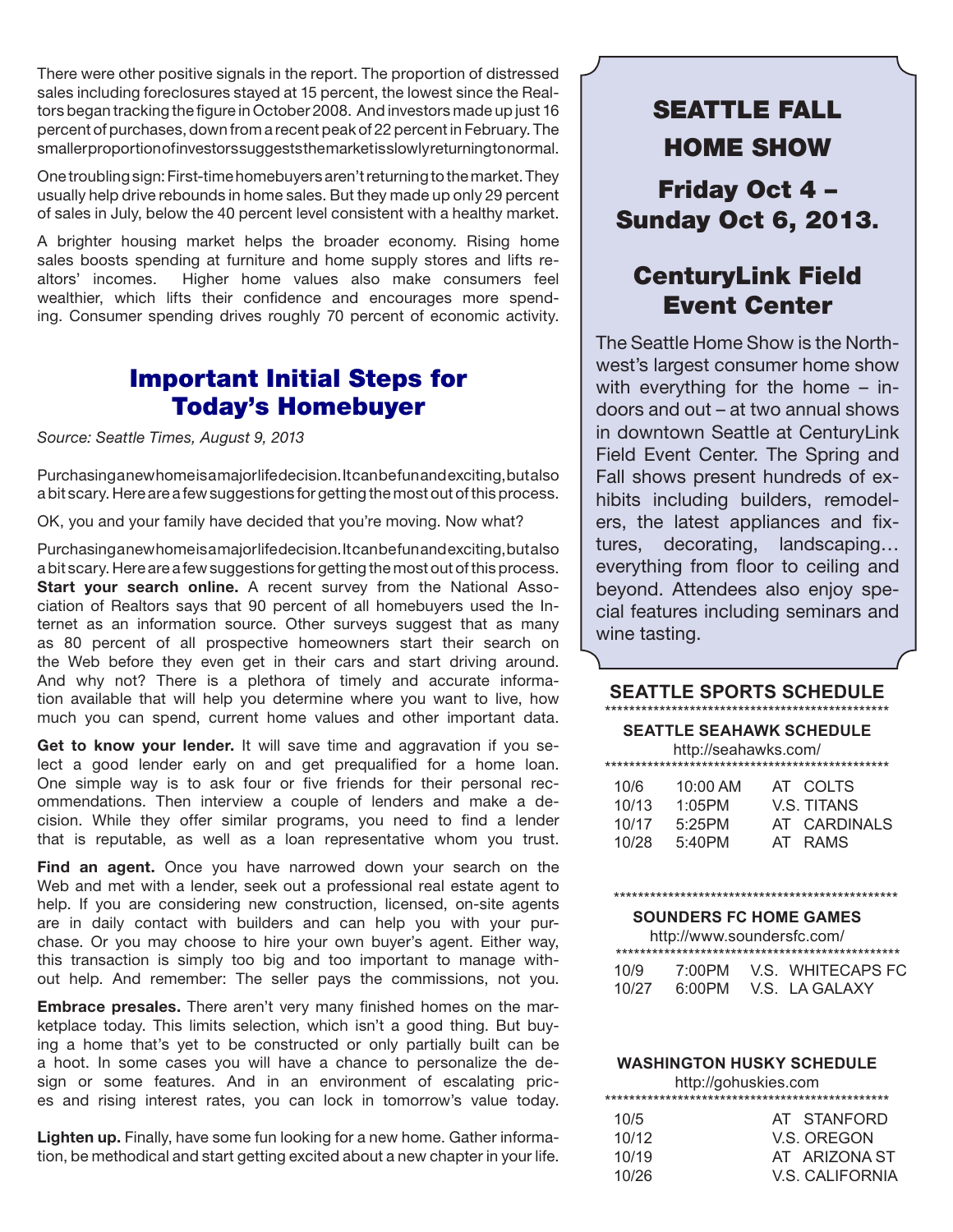There were other positive signals in the report. The proportion of distressed sales including foreclosures stayed at 15 percent, the lowest since the Realtors began tracking the figure in October 2008. And investors made up just 16 percent of purchases, down from a recent peak of 22 percent in February. The smaller proportion of investors suggests the market is slowly returning to normal.

One troubling sign: First-time homebuyers aren't returning to the market. They usually help drive rebounds in home sales. But they made up only 29 percent of sales in July, below the 40 percent level consistent with a healthy market.

A brighter housing market helps the broader economy. Rising home sales boosts spending at furniture and home supply stores and lifts realtors' incomes. Higher home values also make consumers feel wealthier, which lifts their confidence and encourages more spending. Consumer spending drives roughly 70 percent of economic activity.

## Important Initial Steps for Today's Homebuyer

*Source: Seattle Times, August 9, 2013*

Purchasing a new home is a major life decision. It can be fun and exciting, but also a bit scary. Here are a few suggestions for getting the most out of this process.

OK, you and your family have decided that you're moving. Now what?

Purchasing a new home is a major life decision. It can be fun and exciting, but also a bit scary. Here are a few suggestions for getting the most out of this process. **Start your search online.** A recent survey from the National Association of Realtors says that 90 percent of all homebuyers used the Internet as an information source. Other surveys suggest that as many as 80 percent of all prospective homeowners start their search on the Web before they even get in their cars and start driving around. And why not? There is a plethora of timely and accurate information available that will help you determine where you want to live, how much you can spend, current home values and other important data.

Get to know your lender. It will save time and aggravation if you select a good lender early on and get prequalified for a home loan. One simple way is to ask four or five friends for their personal recommendations. Then interview a couple of lenders and make a decision. While they offer similar programs, you need to find a lender that is reputable, as well as a loan representative whom you trust.

**Find an agent.** Once you have narrowed down your search on the Web and met with a lender, seek out a professional real estate agent to help. If you are considering new construction, licensed, on-site agents are in daily contact with builders and can help you with your purchase. Or you may choose to hire your own buyer's agent. Either way, this transaction is simply too big and too important to manage without help. And remember: The seller pays the commissions, not you.

**Embrace presales.** There aren't very many finished homes on the marketplace today. This limits selection, which isn't a good thing. But buying a home that's yet to be constructed or only partially built can be a hoot. In some cases you will have a chance to personalize the design or some features. And in an environment of escalating prices and rising interest rates, you can lock in tomorrow's value today.

**Lighten up.** Finally, have some fun looking for a new home. Gather information, be methodical and start getting excited about a new chapter in your life.

# SEATTLE FALL HOME SHOW Friday Oct 4 – Sunday Oct 6, 2013.

## CenturyLink Field Event Center

The Seattle Home Show is the Northwest's largest consumer home show with everything for the home – indoors and out – at two annual shows in downtown Seattle at CenturyLink Field Event Center. The Spring and Fall shows present hundreds of exhibits including builders, remodelers, the latest appliances and fixtures, decorating, landscaping… everything from floor to ceiling and beyond. Attendees also enjoy special features including seminars and wine tasting.

#### **SEATTLE SPORTS SCHEDULE**

| <b>SEATTLE SEAHAWK SCHEDULE</b><br>http://seahawks.com/ |            |                    |  |  |  |  |  |
|---------------------------------------------------------|------------|--------------------|--|--|--|--|--|
|                                                         |            |                    |  |  |  |  |  |
| 10/6                                                    | $10:00$ AM | AT COLTS           |  |  |  |  |  |
| 10/13                                                   | 1:05PM     | <b>V.S. TITANS</b> |  |  |  |  |  |
| 10/17                                                   | 5:25PM     | AT CARDINALS       |  |  |  |  |  |
| 10/28                                                   | 5:40PM     | AT RAMS            |  |  |  |  |  |
|                                                         |            |                    |  |  |  |  |  |

#### \*\*\*\*\*\*\*\*\*\*\*\*\*\*\*\*\*\*\*\*\*\*\*\*\*\*\*\*\*\*\*\*\*\*\*\*\*\*\*\*\*\*\*\*\*\*\*

**SOUNDERS FC HOME GAMES**

| http://www.soundersfc.com/ |        |  |                   |  |
|----------------------------|--------|--|-------------------|--|
| 10/9                       | 7:00PM |  | V.S. WHITECAPS FC |  |
| 10/27                      | 6:00PM |  | V.S. LAGALAXY     |  |

#### **WASHINGTON HUSKY SCHEDULE**

|       | http://gohuskies.com |  |  |  |  |
|-------|----------------------|--|--|--|--|
|       |                      |  |  |  |  |
| 10/5  | AT STANFORD          |  |  |  |  |
| 10/12 | V.S. OREGON          |  |  |  |  |
| 10/19 | AT ARIZONA ST        |  |  |  |  |
| 10/26 | V.S. CALIFORNIA      |  |  |  |  |